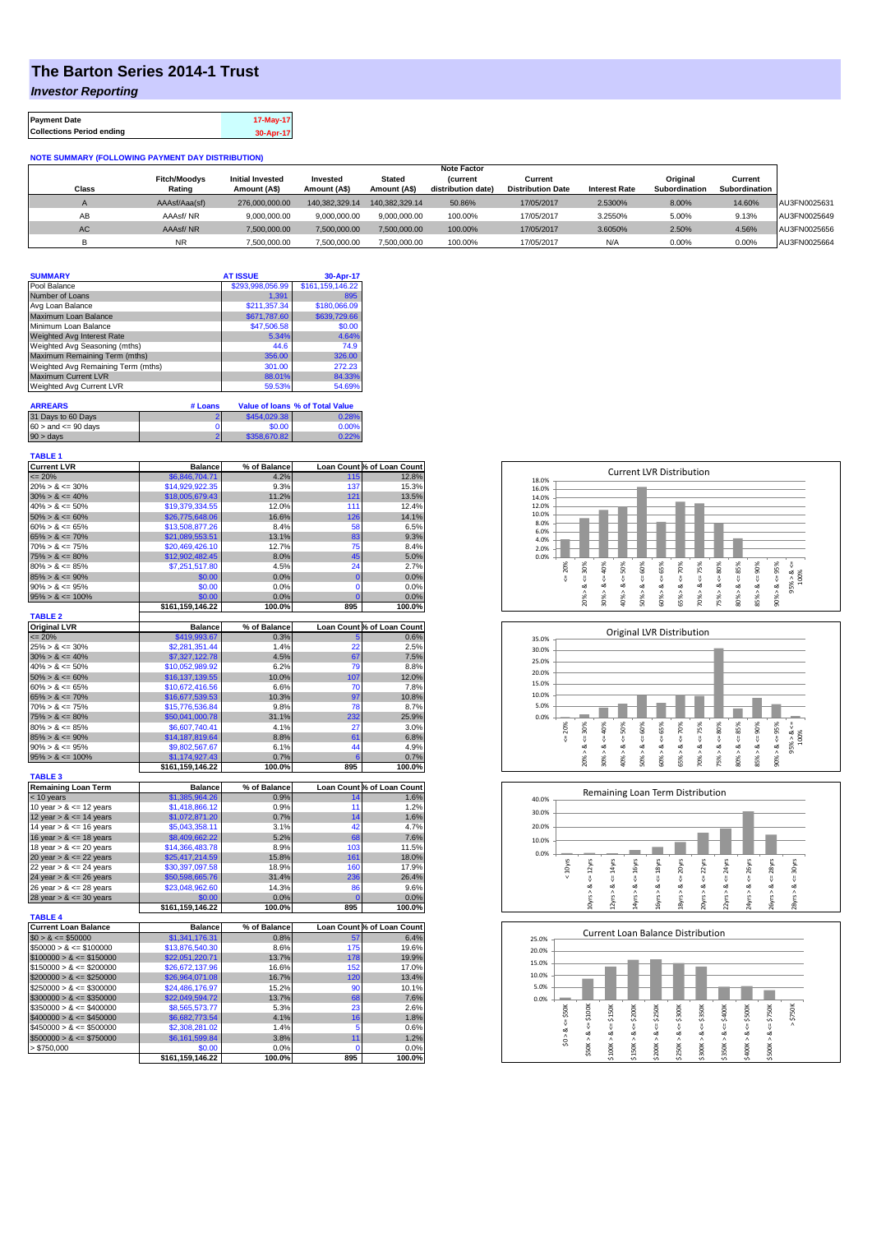## **The Barton Series 2014-1 Trust**

*Investor Reporting*

| <b>Payment Date</b>              | 17-May-17 |
|----------------------------------|-----------|
| <b>Collections Period ending</b> | 30-Apr-17 |

## **NOTE SUMMARY (FOLLOWING PAYMENT DAY DISTRIBUTION)**

|           |                     |                         |                |                | <b>Note Factor</b> |                          |                      |               |               |              |
|-----------|---------------------|-------------------------|----------------|----------------|--------------------|--------------------------|----------------------|---------------|---------------|--------------|
|           | <b>Fitch/Moodys</b> | <b>Initial Invested</b> | Invested       | Stated         | <b>Current</b>     | Current                  |                      | Original      | Current       |              |
| Class     | Rating              | Amount (A\$)            | Amount (A\$)   | Amount (A\$)   | distribution date) | <b>Distribution Date</b> | <b>Interest Rate</b> | Subordination | Subordination |              |
|           | AAAsf/Aaa(sf)       | 276,000,000,00          | 140.382.329.14 | 140.382.329.14 | 50.86%             | 17/05/2017               | 2.5300%              | 8.00%         | 14.60%        | AU3FN0025631 |
| AB        | AAAsf/NR            | 9,000,000.00            | 9.000.000.00   | 9.000.000.00   | 100.00%            | 17/05/2017               | 3.2550%              | 5.00%         | 9.13%         | AU3FN0025649 |
| <b>AC</b> | AAAsf/NR            | 7,500,000.00            | 7.500.000.00   | 7.500.000.00   | 100.00%            | 17/05/2017               | 3.6050%              | 2.50%         | 4.56%         | AU3FN0025656 |
|           | <b>NR</b>           | ,500,000.00             | 7.500.000.00   | 7,500,000.00   | 100.00%            | 17/05/2017               | N/A                  | 0.00%         | 0.00%         | AU3FN0025664 |

| <b>SUMMARY</b>                     | <b>AT ISSUE</b>  | 30-Apr-17                              |
|------------------------------------|------------------|----------------------------------------|
| Pool Balance                       | \$293.998.056.99 | \$161,159,146.22                       |
| Number of Loans                    | 1.391            | 895                                    |
| Avg Loan Balance                   | \$211.357.34     | \$180,066.09                           |
| Maximum Loan Balance               | \$671,787.60     | \$639,729.66                           |
| Minimum Loan Balance               | \$47,506.58      | \$0.00                                 |
| <b>Weighted Avg Interest Rate</b>  | 5.34%            | 4.64%                                  |
| Weighted Avg Seasoning (mths)      | 44.6             | 74.9                                   |
| Maximum Remaining Term (mths)      | 356.00           | 326.00                                 |
| Weighted Avg Remaining Term (mths) | 301.00           | 272.23                                 |
| <b>Maximum Current LVR</b>         | 88.01%           | 84.33%                                 |
| <b>Weighted Avg Current LVR</b>    | 59.53%           | 54.69%                                 |
| <b>ARREARS</b>                     | # Loans          | <b>Value of loans % of Total Value</b> |

| 31 Days to 60 Days        | \$454,029,38 | 0.28% |
|---------------------------|--------------|-------|
| $60 >$ and $\leq 90$ days | \$0.00       | 0.00% |
| $90 >$ days               | \$358,670.82 | 0.22% |

| TABLE 1            |  |
|--------------------|--|
| <b>Current LVR</b> |  |

| <b>Current LVR</b>          | <b>Balance</b>             | % of Balance   |                | Loan Count % of Loan Count |
|-----------------------------|----------------------------|----------------|----------------|----------------------------|
| $\epsilon = 20\%$           | \$6,846,704.71             | 4.2%           | 115            | 12.8%                      |
| $20\% > 8 \le 30\%$         | \$14,929,922.35            | 9.3%           | 137            | 15.3%                      |
| $30\% > 8 \le 40\%$         | \$18,005,679.43            | 11.2%          | 121            | 13.5%                      |
| $40\% > 8 \le 50\%$         | \$19,379,334.55            | 12.0%          | 111            | 12.4%                      |
| $50\% > 8 \le 60\%$         | \$26,775,648.06            | 16.6%          | 126            | 14.1%                      |
| $60\% > 8 \le 65\%$         | \$13,508,877.26            | 8.4%           | 58             | 6.5%                       |
| $65\% > 8 \le 70\%$         | \$21,089,553.51            | 13.1%          | 83             | 9.3%                       |
| $70\% > 8 \le 75\%$         | \$20,469,426.10            | 12.7%          | 75             | 8.4%                       |
| $75\% > 8 \le 80\%$         | \$12,902,482.45            | 8.0%           | 45             | 5.0%                       |
| $80\% > 8 \le 85\%$         | \$7,251,517.80             | 4.5%           | 24             | 2.7%                       |
| $85\% > 8 \le 90\%$         | \$0.00                     | 0.0%           | $\bf{0}$       | 0.0%                       |
| $90\% > 8 \le 95\%$         | \$0.00                     | 0.0%           | $\mathbf 0$    | 0.0%                       |
| $95\% > 8 \le 100\%$        | \$0.00                     | 0.0%           | $\Omega$       | 0.0%                       |
|                             | \$161,159,146.22           | 100.0%         | 895            | 100.0%                     |
| <b>TABLE 2</b>              |                            |                |                |                            |
| <b>Original LVR</b>         | <b>Balance</b>             | % of Balance   |                | Loan Count % of Loan Count |
| $= 20%$                     | \$419,993.67               | 0.3%           | 5              | 0.6%                       |
| $25\% > 8 \le 30\%$         | \$2,281,351.44             | 1.4%           | 22             | 2.5%                       |
| $30\% > 8 \le 40\%$         |                            |                | 67             | 7.5%                       |
|                             | \$7,327,122.78             | 4.5%           |                |                            |
| $40\% > 8 \le 50\%$         | \$10.052.989.92            | 6.2%           | 79             | 8.8%                       |
| $50\% > 8 \le 60\%$         | \$16,137,139.55            | 10.0%          | 107            | 12.0%                      |
| $60\% > 8 \le 65\%$         | \$10,672,416.56            | 6.6%           | 70             | 7.8%                       |
| $65\% > 8 \le 70\%$         | \$16,677,539.53            | 10.3%          | 97             | 10.8%                      |
| $70\% > 8 \le 75\%$         | \$15,776,536.84            | 9.8%           | 78             | 8.7%                       |
| $75\% > 8 \le 80\%$         | \$50,041,000.78            | 31.1%          | 232            | 25.9%                      |
| $80\% > 8 \le 85\%$         | \$6,607,740.41             | 4.1%           | 27             | 3.0%                       |
| $85\% > 8 \le 90\%$         | \$14,187,819.64            | 8.8%           | 61             | 6.8%                       |
| $90\% > 8 \le 95\%$         | \$9,802,567.67             | 6.1%           | 44             | 4.9%                       |
| $95\% > 8 \le 100\%$        | \$1,174,927.43             | 0.7%           | 6              | 0.7%                       |
|                             | \$161,159,146.22           | 100.0%         | 895            | 100.0%                     |
| <b>TABLE 3</b>              |                            |                |                |                            |
| <b>Remaining Loan Term</b>  | <b>Balance</b>             | % of Balance   |                | Loan Count % of Loan Count |
| $<$ 10 years                | \$1,385,964.26             | 0.9%           | 14             | 1.6%                       |
| 10 year $> 8 \le 12$ years  | \$1,418,866.12             | 0.9%           | 11             | 1.2%                       |
| 12 year $> 8 \le 14$ years  | \$1,072,871.20             | 0.7%           | 14             | 1.6%                       |
| 14 year $> 8 \le 16$ years  | \$5,043,358.11             | 3.1%           | 42             | 4.7%                       |
| 16 year $> 8 \le 18$ years  | \$8,409,662.22             | 5.2%           | 68             | 7.6%                       |
| 18 year $> 8 \le 20$ years  | \$14,366,483.78            | 8.9%           | 103            | 11.5%                      |
| 20 year $> 8 \le 22$ years  | \$25,417,214.59            | 15.8%          | 161            | 18.0%                      |
| 22 year $> 8 \le 24$ years  | \$30,397,097.58            | 18.9%          | 160            | 17.9%                      |
| 24 year $> 8 \le 26$ years  | \$50,598,665.76            | 31.4%          | 236            | 26.4%                      |
| 26 year $> 8 \le 28$ years  | \$23,048,962.60            | 14.3%          | 86             | 9.6%                       |
| 28 year $> 8 \le 30$ years  | \$0.00                     | 0.0%           | $\overline{0}$ | 0.0%                       |
|                             | \$161,159,146.22           | 100.0%         | 895            | 100.0%                     |
| <b>TABLE 4</b>              |                            |                |                |                            |
| <b>Current Loan Balance</b> | <b>Balance</b>             | % of Balance   |                | Loan Count % of Loan Count |
| $$0 > 8 \le $50000$         | \$1,341,176.31             | 0.8%           | 57             | 6.4%                       |
| $$50000 > 8 \le $100000$    | \$13,876,540.30            | 8.6%           | 175            | 19.6%                      |
| $$100000 > 8 \le $150000$   | \$22,051,220.71            | 13.7%          | 178            | 19.9%                      |
| $$150000 > 8 \leq $200000$  | \$26,672,137.96            | 16.6%          | 152            | 17.0%                      |
| $$200000 > 8 \leq $250000$  | \$26,964,071.08            | 16.7%          | 120            | 13.4%                      |
| $$250000 > 8 \leq $300000$  | \$24,486,176.97            | 15.2%          | 90             | 10.1%                      |
|                             |                            | 13.7%          | 68             | 7.6%                       |
| $$300000 > 8 \leq $350000$  | \$22,049,594.72            |                |                |                            |
| $$350000 > 8 \leq $400000$  | \$8,565,573.77             | 5.3%           | 23             | 2.6%                       |
| $$400000 > 8 \leq $450000$  | \$6,682,773.54             | 4.1%           | 16             | 1.8%                       |
| $$450000 > 8 \leq $500000$  | \$2,308,281.02             | 1.4%           | 5              | 0.6%                       |
| $$500000 > 8 \leq $750000$  | \$6,161,599.84             | 3.8%           | 11             | 1.2%                       |
| > \$750,000                 | \$0.00<br>\$161,159,146.22 | 0.0%<br>100.0% | 0<br>895       | 0.0%                       |
|                             |                            |                |                | 100.0%                     |